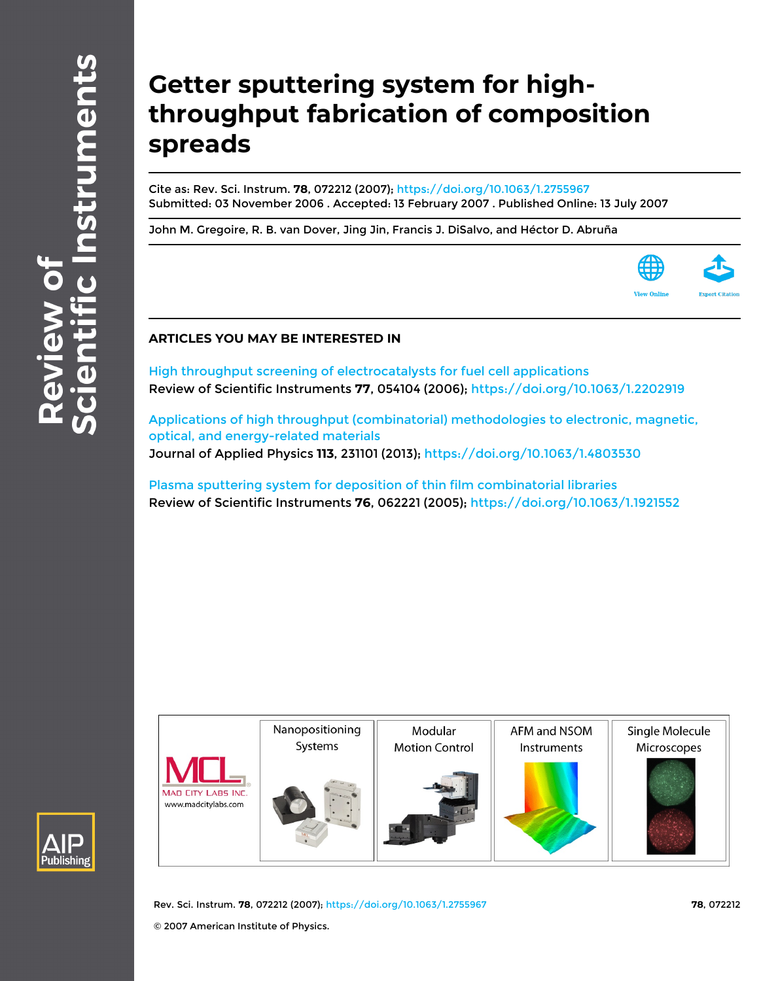# **Getter sputtering system for highthroughput fabrication of composition spreads**

Cite as: Rev. Sci. Instrum. **78**, 072212 (2007);<https://doi.org/10.1063/1.2755967> Submitted: 03 November 2006 . Accepted: 13 February 2007 . Published Online: 13 July 2007

[John M. Gregoire](https://aip.scitation.org/author/Gregoire%2C+John+M), [R. B. van Dover,](https://aip.scitation.org/author/van+Dover%2C+R+B) [Jing Jin,](https://aip.scitation.org/author/Jin%2C+Jing) [Francis J. DiSalvo](https://aip.scitation.org/author/DiSalvo%2C+Francis+J), and [Héctor D. Abruña](https://aip.scitation.org/author/Abru%C3%B1a%2C+H%C3%A9ctor+D)



### **ARTICLES YOU MAY BE INTERESTED IN**

[High throughput screening of electrocatalysts for fuel cell applications](https://aip.scitation.org/doi/10.1063/1.2202919) Review of Scientific Instruments **77**, 054104 (2006);<https://doi.org/10.1063/1.2202919>

[Applications of high throughput \(combinatorial\) methodologies to electronic, magnetic,](https://aip.scitation.org/doi/10.1063/1.4803530) [optical, and energy-related materials](https://aip.scitation.org/doi/10.1063/1.4803530) Journal of Applied Physics **113**, 231101 (2013);<https://doi.org/10.1063/1.4803530>

[Plasma sputtering system for deposition of thin film combinatorial libraries](https://aip.scitation.org/doi/10.1063/1.1921552) Review of Scientific Instruments **76**, 062221 (2005); <https://doi.org/10.1063/1.1921552>





Rev. Sci. Instrum. **78**, 072212 (2007); <https://doi.org/10.1063/1.2755967> **78**, 072212 © 2007 American Institute of Physics.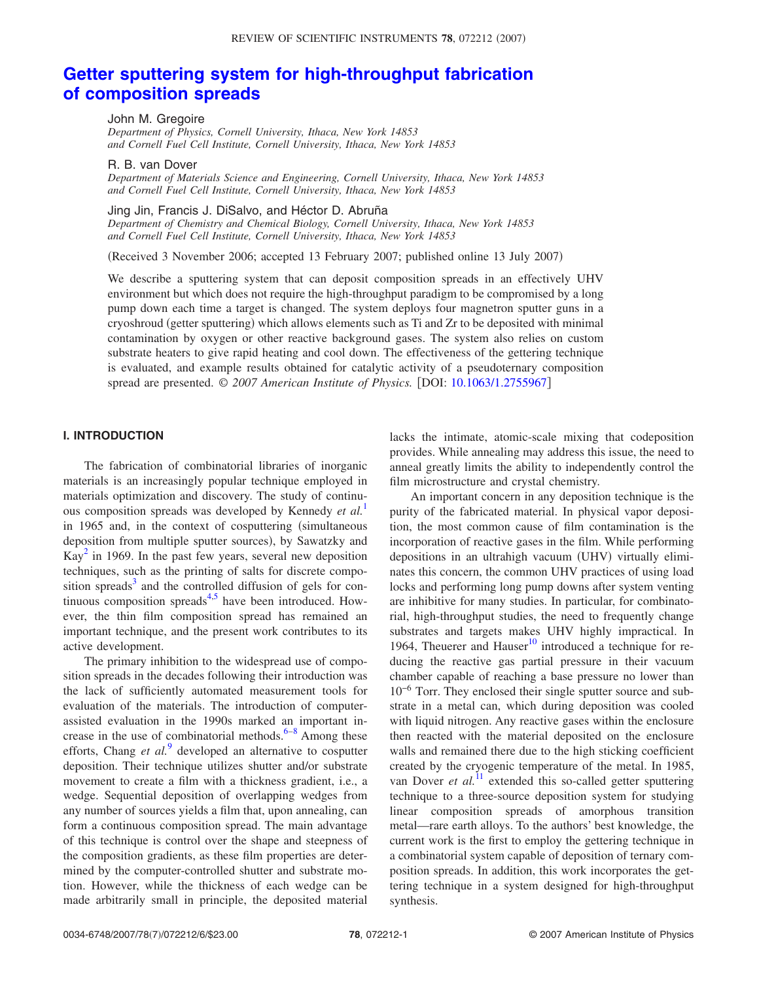## **[Getter sputtering system for high-throughput fabrication](http://dx.doi.org/10.1063/1.2755967) [of composition spreads](http://dx.doi.org/10.1063/1.2755967)**

John M. Gregoire *Department of Physics, Cornell University, Ithaca, New York 14853 and Cornell Fuel Cell Institute, Cornell University, Ithaca, New York 14853*

R. B. van Dover

*Department of Materials Science and Engineering, Cornell University, Ithaca, New York 14853 and Cornell Fuel Cell Institute, Cornell University, Ithaca, New York 14853*

Jing Jin, Francis J. DiSalvo, and Héctor D. Abruña *Department of Chemistry and Chemical Biology, Cornell University, Ithaca, New York 14853 and Cornell Fuel Cell Institute, Cornell University, Ithaca, New York 14853*

(Received 3 November 2006; accepted 13 February 2007; published online 13 July 2007)

We describe a sputtering system that can deposit composition spreads in an effectively UHV environment but which does not require the high-throughput paradigm to be compromised by a long pump down each time a target is changed. The system deploys four magnetron sputter guns in a cryoshroud (getter sputtering) which allows elements such as Ti and Zr to be deposited with minimal contamination by oxygen or other reactive background gases. The system also relies on custom substrate heaters to give rapid heating and cool down. The effectiveness of the gettering technique is evaluated, and example results obtained for catalytic activity of a pseudoternary composition spread are presented.  $\odot$  2007 American Institute of Physics. [DOI: [10.1063/1.2755967](http://dx.doi.org/10.1063/1.2755967)]

#### **I. INTRODUCTION**

The fabrication of combinatorial libraries of inorganic materials is an increasingly popular technique employed in materials optimization and discovery. The study of continuous composition spreads was developed by Kennedy *et al.*[1](#page-6-0) in 1965 and, in the context of cosputtering (simultaneous deposition from multiple sputter sources), by Sawatzky and  $\text{Kay}^2$  in 1969. In the past few years, several new deposition techniques, such as the printing of salts for discrete composition spreads<sup>3</sup> and the controlled diffusion of gels for continuous composition spreads $4.5$  have been introduced. However, the thin film composition spread has remained an important technique, and the present work contributes to its active development.

The primary inhibition to the widespread use of composition spreads in the decades following their introduction was the lack of sufficiently automated measurement tools for evaluation of the materials. The introduction of computerassisted evaluation in the 1990s marked an important increase in the use of combinatorial methods. $6-8$  Among these efforts, Chang *et al.*<sup>[9](#page-6-7)</sup> developed an alternative to cosputter deposition. Their technique utilizes shutter and/or substrate movement to create a film with a thickness gradient, i.e., a wedge. Sequential deposition of overlapping wedges from any number of sources yields a film that, upon annealing, can form a continuous composition spread. The main advantage of this technique is control over the shape and steepness of the composition gradients, as these film properties are determined by the computer-controlled shutter and substrate motion. However, while the thickness of each wedge can be made arbitrarily small in principle, the deposited material lacks the intimate, atomic-scale mixing that codeposition provides. While annealing may address this issue, the need to anneal greatly limits the ability to independently control the film microstructure and crystal chemistry.

An important concern in any deposition technique is the purity of the fabricated material. In physical vapor deposition, the most common cause of film contamination is the incorporation of reactive gases in the film. While performing depositions in an ultrahigh vacuum (UHV) virtually eliminates this concern, the common UHV practices of using load locks and performing long pump downs after system venting are inhibitive for many studies. In particular, for combinatorial, high-throughput studies, the need to frequently change substrates and targets makes UHV highly impractical. In 1964, Theuerer and Hauser $10$  introduced a technique for reducing the reactive gas partial pressure in their vacuum chamber capable of reaching a base pressure no lower than 10−6 Torr. They enclosed their single sputter source and substrate in a metal can, which during deposition was cooled with liquid nitrogen. Any reactive gases within the enclosure then reacted with the material deposited on the enclosure walls and remained there due to the high sticking coefficient created by the cryogenic temperature of the metal. In 1985, van Dover *et al.*<sup>[11](#page-6-9)</sup> extended this so-called getter sputtering technique to a three-source deposition system for studying linear composition spreads of amorphous transition metal—rare earth alloys. To the authors' best knowledge, the current work is the first to employ the gettering technique in a combinatorial system capable of deposition of ternary composition spreads. In addition, this work incorporates the gettering technique in a system designed for high-throughput synthesis.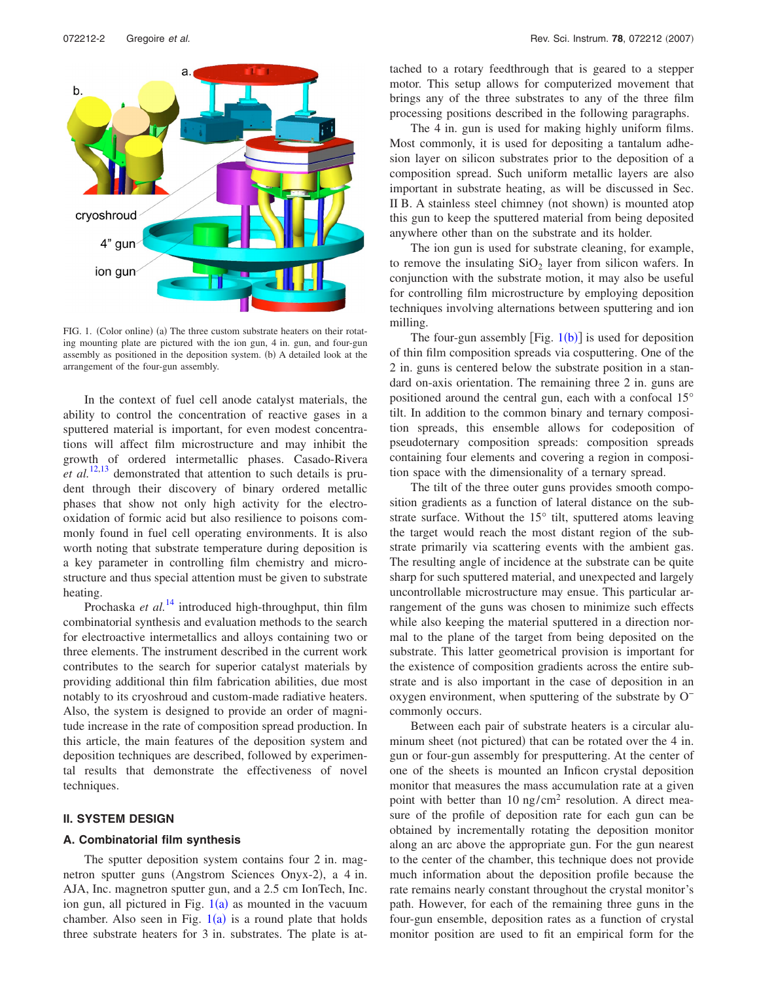<span id="page-2-0"></span>

FIG. 1. (Color online) (a) The three custom substrate heaters on their rotating mounting plate are pictured with the ion gun, 4 in. gun, and four-gun assembly as positioned in the deposition system. (b) A detailed look at the arrangement of the four-gun assembly.

In the context of fuel cell anode catalyst materials, the ability to control the concentration of reactive gases in a sputtered material is important, for even modest concentrations will affect film microstructure and may inhibit the growth of ordered intermetallic phases. Casado-Rivera *et al.*[12](#page-6-10)[,13](#page-6-11) demonstrated that attention to such details is prudent through their discovery of binary ordered metallic phases that show not only high activity for the electrooxidation of formic acid but also resilience to poisons commonly found in fuel cell operating environments. It is also worth noting that substrate temperature during deposition is a key parameter in controlling film chemistry and microstructure and thus special attention must be given to substrate heating.

Prochaska *et al.*<sup>[14](#page-6-12)</sup> introduced high-throughput, thin film combinatorial synthesis and evaluation methods to the search for electroactive intermetallics and alloys containing two or three elements. The instrument described in the current work contributes to the search for superior catalyst materials by providing additional thin film fabrication abilities, due most notably to its cryoshroud and custom-made radiative heaters. Also, the system is designed to provide an order of magnitude increase in the rate of composition spread production. In this article, the main features of the deposition system and deposition techniques are described, followed by experimental results that demonstrate the effectiveness of novel techniques.

#### **II. SYSTEM DESIGN**

#### **A. Combinatorial film synthesis**

The sputter deposition system contains four 2 in. magnetron sputter guns (Angstrom Sciences Onyx-2), a 4 in. AJA, Inc. magnetron sputter gun, and a 2.5 cm IonTech, Inc. ion gun, all pictured in Fig.  $1(a)$  $1(a)$  as mounted in the vacuum chamber. Also seen in Fig.  $1(a)$  $1(a)$  is a round plate that holds three substrate heaters for 3 in. substrates. The plate is attached to a rotary feedthrough that is geared to a stepper motor. This setup allows for computerized movement that brings any of the three substrates to any of the three film processing positions described in the following paragraphs.

The 4 in. gun is used for making highly uniform films. Most commonly, it is used for depositing a tantalum adhesion layer on silicon substrates prior to the deposition of a composition spread. Such uniform metallic layers are also important in substrate heating, as will be discussed in Sec. II B. A stainless steel chimney (not shown) is mounted atop this gun to keep the sputtered material from being deposited anywhere other than on the substrate and its holder.

The ion gun is used for substrate cleaning, for example, to remove the insulating  $SiO<sub>2</sub>$  layer from silicon wafers. In conjunction with the substrate motion, it may also be useful for controlling film microstructure by employing deposition techniques involving alternations between sputtering and ion milling.

The four-gun assembly  $[Fig. 1(b)]$  $[Fig. 1(b)]$  $[Fig. 1(b)]$  is used for deposition of thin film composition spreads via cosputtering. One of the 2 in. guns is centered below the substrate position in a standard on-axis orientation. The remaining three 2 in. guns are positioned around the central gun, each with a confocal 15° tilt. In addition to the common binary and ternary composition spreads, this ensemble allows for codeposition of pseudoternary composition spreads: composition spreads containing four elements and covering a region in composition space with the dimensionality of a ternary spread.

The tilt of the three outer guns provides smooth composition gradients as a function of lateral distance on the substrate surface. Without the 15° tilt, sputtered atoms leaving the target would reach the most distant region of the substrate primarily via scattering events with the ambient gas. The resulting angle of incidence at the substrate can be quite sharp for such sputtered material, and unexpected and largely uncontrollable microstructure may ensue. This particular arrangement of the guns was chosen to minimize such effects while also keeping the material sputtered in a direction normal to the plane of the target from being deposited on the substrate. This latter geometrical provision is important for the existence of composition gradients across the entire substrate and is also important in the case of deposition in an oxygen environment, when sputtering of the substrate by O<sup>−</sup> commonly occurs.

Between each pair of substrate heaters is a circular aluminum sheet (not pictured) that can be rotated over the 4 in. gun or four-gun assembly for presputtering. At the center of one of the sheets is mounted an Inficon crystal deposition monitor that measures the mass accumulation rate at a given point with better than 10  $\text{ng/cm}^2$  resolution. A direct measure of the profile of deposition rate for each gun can be obtained by incrementally rotating the deposition monitor along an arc above the appropriate gun. For the gun nearest to the center of the chamber, this technique does not provide much information about the deposition profile because the rate remains nearly constant throughout the crystal monitor's path. However, for each of the remaining three guns in the four-gun ensemble, deposition rates as a function of crystal monitor position are used to fit an empirical form for the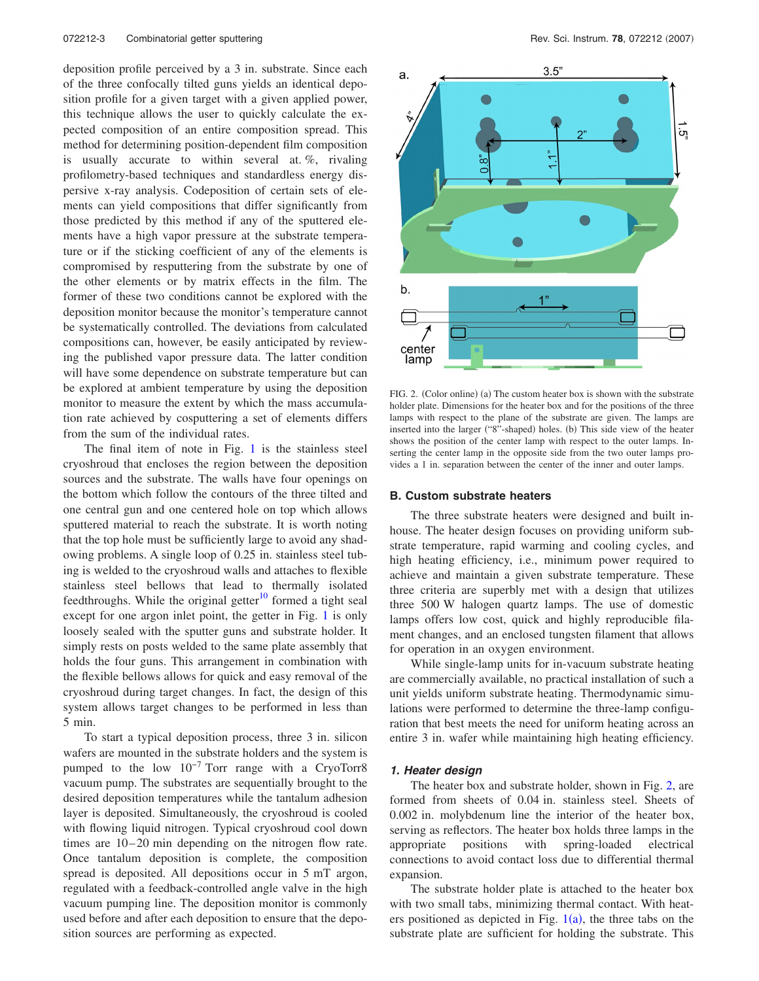deposition profile perceived by a 3 in. substrate. Since each of the three confocally tilted guns yields an identical deposition profile for a given target with a given applied power, this technique allows the user to quickly calculate the expected composition of an entire composition spread. This method for determining position-dependent film composition is usually accurate to within several at. %, rivaling profilometry-based techniques and standardless energy dispersive x-ray analysis. Codeposition of certain sets of elements can yield compositions that differ significantly from those predicted by this method if any of the sputtered elements have a high vapor pressure at the substrate temperature or if the sticking coefficient of any of the elements is compromised by resputtering from the substrate by one of the other elements or by matrix effects in the film. The former of these two conditions cannot be explored with the deposition monitor because the monitor's temperature cannot be systematically controlled. The deviations from calculated compositions can, however, be easily anticipated by reviewing the published vapor pressure data. The latter condition will have some dependence on substrate temperature but can be explored at ambient temperature by using the deposition monitor to measure the extent by which the mass accumulation rate achieved by cosputtering a set of elements differs from the sum of the individual rates.

The final item of note in Fig. [1](#page-2-0) is the stainless steel cryoshroud that encloses the region between the deposition sources and the substrate. The walls have four openings on the bottom which follow the contours of the three tilted and one central gun and one centered hole on top which allows sputtered material to reach the substrate. It is worth noting that the top hole must be sufficiently large to avoid any shadowing problems. A single loop of 0.25 in. stainless steel tubing is welded to the cryoshroud walls and attaches to flexible stainless steel bellows that lead to thermally isolated feedthroughs. While the original getter $10$  formed a tight seal except for one argon inlet point, the getter in Fig. [1](#page-2-0) is only loosely sealed with the sputter guns and substrate holder. It simply rests on posts welded to the same plate assembly that holds the four guns. This arrangement in combination with the flexible bellows allows for quick and easy removal of the cryoshroud during target changes. In fact, the design of this system allows target changes to be performed in less than 5 min.

To start a typical deposition process, three 3 in. silicon wafers are mounted in the substrate holders and the system is pumped to the low  $10^{-7}$  Torr range with a CryoTorr8 vacuum pump. The substrates are sequentially brought to the desired deposition temperatures while the tantalum adhesion layer is deposited. Simultaneously, the cryoshroud is cooled with flowing liquid nitrogen. Typical cryoshroud cool down times are  $10-20$  min depending on the nitrogen flow rate. Once tantalum deposition is complete, the composition spread is deposited. All depositions occur in 5 mT argon, regulated with a feedback-controlled angle valve in the high vacuum pumping line. The deposition monitor is commonly used before and after each deposition to ensure that the deposition sources are performing as expected.

<span id="page-3-0"></span>

FIG. 2. (Color online) (a) The custom heater box is shown with the substrate holder plate. Dimensions for the heater box and for the positions of the three lamps with respect to the plane of the substrate are given. The lamps are inserted into the larger ("8"-shaped) holes. (b) This side view of the heater shows the position of the center lamp with respect to the outer lamps. Inserting the center lamp in the opposite side from the two outer lamps provides a 1 in. separation between the center of the inner and outer lamps.

#### **B. Custom substrate heaters**

The three substrate heaters were designed and built inhouse. The heater design focuses on providing uniform substrate temperature, rapid warming and cooling cycles, and high heating efficiency, i.e., minimum power required to achieve and maintain a given substrate temperature. These three criteria are superbly met with a design that utilizes three 500 W halogen quartz lamps. The use of domestic lamps offers low cost, quick and highly reproducible filament changes, and an enclosed tungsten filament that allows for operation in an oxygen environment.

While single-lamp units for in-vacuum substrate heating are commercially available, no practical installation of such a unit yields uniform substrate heating. Thermodynamic simulations were performed to determine the three-lamp configuration that best meets the need for uniform heating across an entire 3 in. wafer while maintaining high heating efficiency.

#### *1. Heater design*

The heater box and substrate holder, shown in Fig. [2,](#page-3-0) are formed from sheets of 0.04 in. stainless steel. Sheets of 0.002 in. molybdenum line the interior of the heater box, serving as reflectors. The heater box holds three lamps in the appropriate positions with spring-loaded electrical connections to avoid contact loss due to differential thermal expansion.

The substrate holder plate is attached to the heater box with two small tabs, minimizing thermal contact. With heaters positioned as depicted in Fig.  $1(a)$  $1(a)$ , the three tabs on the substrate plate are sufficient for holding the substrate. This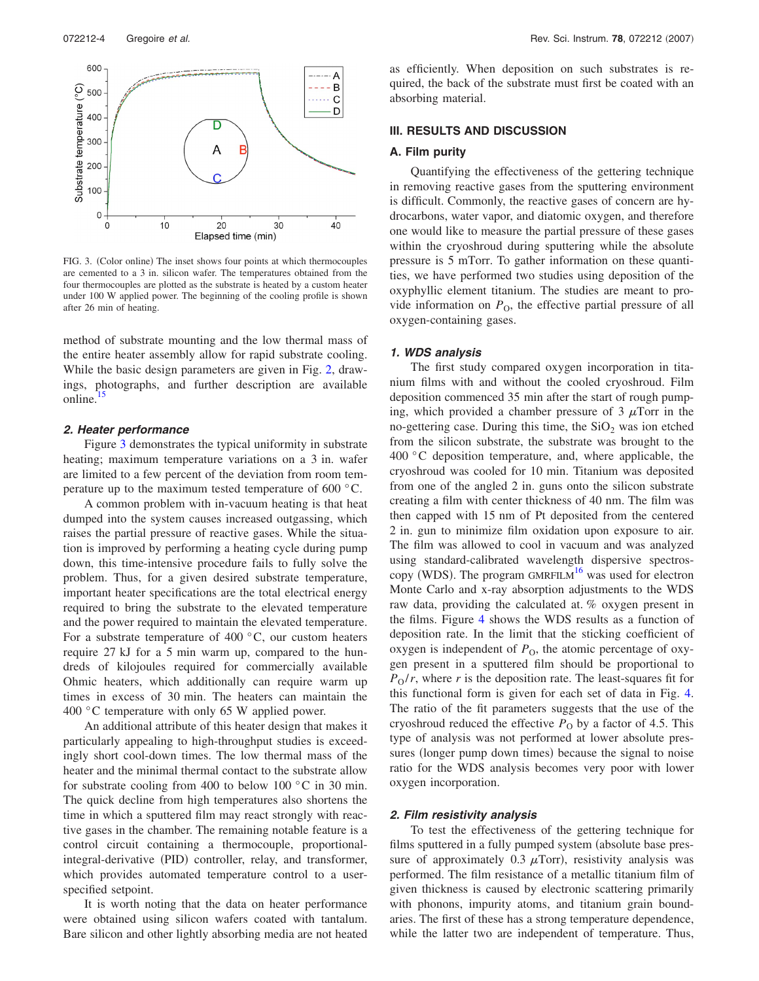<span id="page-4-0"></span>

FIG. 3. (Color online) The inset shows four points at which thermocouples are cemented to a 3 in. silicon wafer. The temperatures obtained from the four thermocouples are plotted as the substrate is heated by a custom heater under 100 W applied power. The beginning of the cooling profile is shown after 26 min of heating.

method of substrate mounting and the low thermal mass of the entire heater assembly allow for rapid substrate cooling. While the basic design parameters are given in Fig. [2,](#page-3-0) drawings, photographs, and further description are available online.<sup>15</sup>

#### *2. Heater performance*

Figure [3](#page-4-0) demonstrates the typical uniformity in substrate heating; maximum temperature variations on a 3 in. wafer are limited to a few percent of the deviation from room temperature up to the maximum tested temperature of 600 °C.

A common problem with in-vacuum heating is that heat dumped into the system causes increased outgassing, which raises the partial pressure of reactive gases. While the situation is improved by performing a heating cycle during pump down, this time-intensive procedure fails to fully solve the problem. Thus, for a given desired substrate temperature, important heater specifications are the total electrical energy required to bring the substrate to the elevated temperature and the power required to maintain the elevated temperature. For a substrate temperature of  $400\degree C$ , our custom heaters require 27 kJ for a 5 min warm up, compared to the hundreds of kilojoules required for commercially available Ohmic heaters, which additionally can require warm up times in excess of 30 min. The heaters can maintain the 400 °C temperature with only 65 W applied power.

An additional attribute of this heater design that makes it particularly appealing to high-throughput studies is exceedingly short cool-down times. The low thermal mass of the heater and the minimal thermal contact to the substrate allow for substrate cooling from 400 to below  $100\degree C$  in 30 min. The quick decline from high temperatures also shortens the time in which a sputtered film may react strongly with reactive gases in the chamber. The remaining notable feature is a control circuit containing a thermocouple, proportionalintegral-derivative (PID) controller, relay, and transformer, which provides automated temperature control to a userspecified setpoint.

It is worth noting that the data on heater performance were obtained using silicon wafers coated with tantalum. Bare silicon and other lightly absorbing media are not heated as efficiently. When deposition on such substrates is required, the back of the substrate must first be coated with an absorbing material.

#### **III. RESULTS AND DISCUSSION**

#### **A. Film purity**

Quantifying the effectiveness of the gettering technique in removing reactive gases from the sputtering environment is difficult. Commonly, the reactive gases of concern are hydrocarbons, water vapor, and diatomic oxygen, and therefore one would like to measure the partial pressure of these gases within the cryoshroud during sputtering while the absolute pressure is 5 mTorr. To gather information on these quantities, we have performed two studies using deposition of the oxyphyllic element titanium. The studies are meant to provide information on  $P_{\text{O}}$ , the effective partial pressure of all oxygen-containing gases.

#### *1. WDS analysis*

The first study compared oxygen incorporation in titanium films with and without the cooled cryoshroud. Film deposition commenced 35 min after the start of rough pumping, which provided a chamber pressure of 3  $\mu$ Torr in the no-gettering case. During this time, the  $SiO<sub>2</sub>$  was ion etched from the silicon substrate, the substrate was brought to the 400 °C deposition temperature, and, where applicable, the cryoshroud was cooled for 10 min. Titanium was deposited from one of the angled 2 in. guns onto the silicon substrate creating a film with center thickness of 40 nm. The film was then capped with 15 nm of Pt deposited from the centered 2 in. gun to minimize film oxidation upon exposure to air. The film was allowed to cool in vacuum and was analyzed using standard-calibrated wavelength dispersive spectros-copy (WDS). The program GMRFILM<sup>[16](#page-6-14)</sup> was used for electron Monte Carlo and x-ray absorption adjustments to the WDS raw data, providing the calculated at. % oxygen present in the films. Figure [4](#page-5-0) shows the WDS results as a function of deposition rate. In the limit that the sticking coefficient of oxygen is independent of  $P_{\Omega}$ , the atomic percentage of oxygen present in a sputtered film should be proportional to  $P_{\Omega}/r$ , where *r* is the deposition rate. The least-squares fit for this functional form is given for each set of data in Fig. [4.](#page-5-0) The ratio of the fit parameters suggests that the use of the cryoshroud reduced the effective  $P_{\Omega}$  by a factor of 4.5. This type of analysis was not performed at lower absolute pressures (longer pump down times) because the signal to noise ratio for the WDS analysis becomes very poor with lower oxygen incorporation.

#### *2. Film resistivity analysis*

To test the effectiveness of the gettering technique for films sputtered in a fully pumped system (absolute base pressure of approximately 0.3  $\mu$ Torr), resistivity analysis was performed. The film resistance of a metallic titanium film of given thickness is caused by electronic scattering primarily with phonons, impurity atoms, and titanium grain boundaries. The first of these has a strong temperature dependence, while the latter two are independent of temperature. Thus,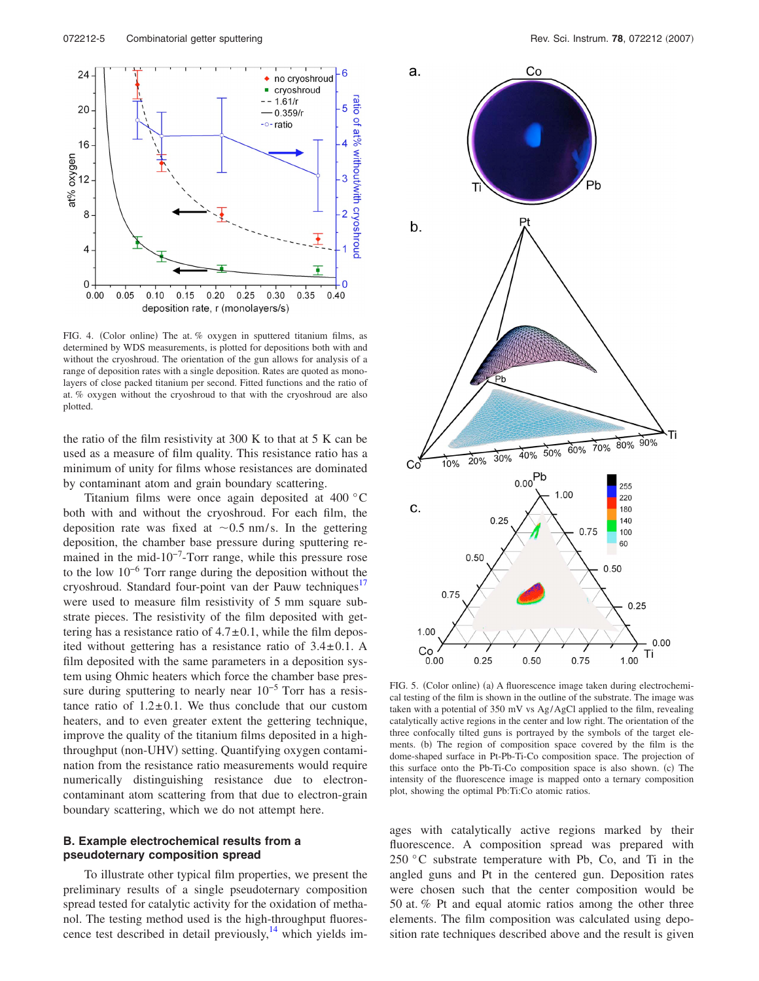<span id="page-5-0"></span>

FIG. 4. (Color online) The at. % oxygen in sputtered titanium films, as determined by WDS measurements, is plotted for depositions both with and without the cryoshroud. The orientation of the gun allows for analysis of a range of deposition rates with a single deposition. Rates are quoted as monolayers of close packed titanium per second. Fitted functions and the ratio of at. % oxygen without the cryoshroud to that with the cryoshroud are also plotted.

the ratio of the film resistivity at 300 K to that at 5 K can be used as a measure of film quality. This resistance ratio has a minimum of unity for films whose resistances are dominated by contaminant atom and grain boundary scattering.

Titanium films were once again deposited at 400 °C both with and without the cryoshroud. For each film, the deposition rate was fixed at  $\sim 0.5$  nm/s. In the gettering deposition, the chamber base pressure during sputtering remained in the mid-10<sup>-7</sup>-Torr range, while this pressure rose to the low  $10^{-6}$  Torr range during the deposition without the cryoshroud. Standard four-point van der Pauw techniques<sup>17</sup> were used to measure film resistivity of 5 mm square substrate pieces. The resistivity of the film deposited with gettering has a resistance ratio of  $4.7 \pm 0.1$ , while the film deposited without gettering has a resistance ratio of  $3.4 \pm 0.1$ . A film deposited with the same parameters in a deposition system using Ohmic heaters which force the chamber base pressure during sputtering to nearly near 10<sup>-5</sup> Torr has a resistance ratio of  $1.2 \pm 0.1$ . We thus conclude that our custom heaters, and to even greater extent the gettering technique, improve the quality of the titanium films deposited in a highthroughput (non-UHV) setting. Quantifying oxygen contamination from the resistance ratio measurements would require numerically distinguishing resistance due to electroncontaminant atom scattering from that due to electron-grain boundary scattering, which we do not attempt here.

#### **B. Example electrochemical results from a pseudoternary composition spread**

To illustrate other typical film properties, we present the preliminary results of a single pseudoternary composition spread tested for catalytic activity for the oxidation of methanol. The testing method used is the high-throughput fluorescence test described in detail previously, $14$  which yields im-

<span id="page-5-1"></span>

FIG. 5. (Color online) (a) A fluorescence image taken during electrochemical testing of the film is shown in the outline of the substrate. The image was taken with a potential of 350 mV vs Ag/AgCl applied to the film, revealing catalytically active regions in the center and low right. The orientation of the three confocally tilted guns is portrayed by the symbols of the target elements. (b) The region of composition space covered by the film is the dome-shaped surface in Pt-Pb-Ti-Co composition space. The projection of this surface onto the Pb-Ti-Co composition space is also shown. (c) The intensity of the fluorescence image is mapped onto a ternary composition plot, showing the optimal Pb:Ti:Co atomic ratios.

ages with catalytically active regions marked by their fluorescence. A composition spread was prepared with  $250\text{ °C}$  substrate temperature with Pb, Co, and Ti in the angled guns and Pt in the centered gun. Deposition rates were chosen such that the center composition would be 50 at. % Pt and equal atomic ratios among the other three elements. The film composition was calculated using deposition rate techniques described above and the result is given